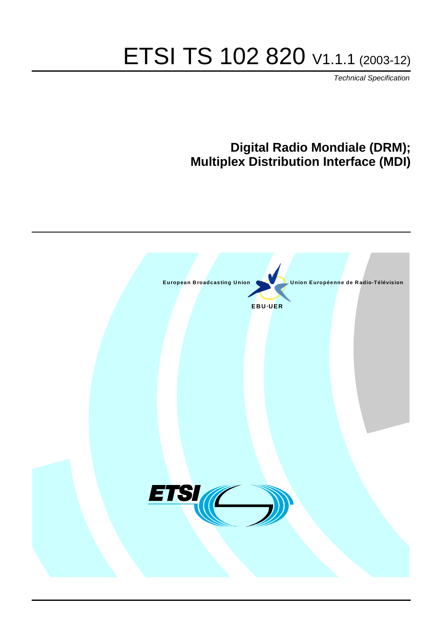# ETSI TS 102 820 V1.1.1 (2003-12)

Technical Specification

# **Digital Radio Mondiale (DRM); Multiplex Distribution Interface (MDI)**

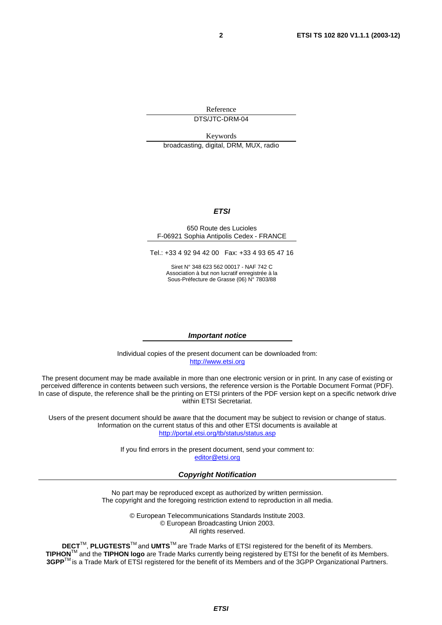Reference DTS/JTC-DRM-04

Keywords broadcasting, digital, DRM, MUX, radio

#### **ETSI**

#### 650 Route des Lucioles F-06921 Sophia Antipolis Cedex - FRANCE

Tel.: +33 4 92 94 42 00 Fax: +33 4 93 65 47 16

Siret N° 348 623 562 00017 - NAF 742 C Association à but non lucratif enregistrée à la Sous-Préfecture de Grasse (06) N° 7803/88

#### **Important notice**

Individual copies of the present document can be downloaded from: [http://www.etsi.org](http://www.etsi.org/)

The present document may be made available in more than one electronic version or in print. In any case of existing or perceived difference in contents between such versions, the reference version is the Portable Document Format (PDF). In case of dispute, the reference shall be the printing on ETSI printers of the PDF version kept on a specific network drive within ETSI Secretariat.

Users of the present document should be aware that the document may be subject to revision or change of status. Information on the current status of this and other ETSI documents is available at <http://portal.etsi.org/tb/status/status.asp>

> If you find errors in the present document, send your comment to: [editor@etsi.org](mailto:editor@etsi.org)

#### **Copyright Notification**

No part may be reproduced except as authorized by written permission. The copyright and the foregoing restriction extend to reproduction in all media.

> © European Telecommunications Standards Institute 2003. © European Broadcasting Union 2003. All rights reserved.

**DECT**TM, **PLUGTESTS**TM and **UMTS**TM are Trade Marks of ETSI registered for the benefit of its Members. **TIPHON**TM and the **TIPHON logo** are Trade Marks currently being registered by ETSI for the benefit of its Members. **3GPP**TM is a Trade Mark of ETSI registered for the benefit of its Members and of the 3GPP Organizational Partners.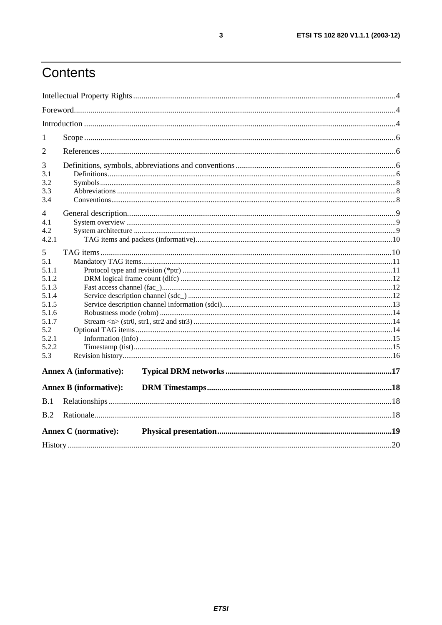# Contents

| 1     |                               |  |  |  |  |  |  |  |  |
|-------|-------------------------------|--|--|--|--|--|--|--|--|
| 2     |                               |  |  |  |  |  |  |  |  |
| 3     |                               |  |  |  |  |  |  |  |  |
| 3.1   |                               |  |  |  |  |  |  |  |  |
| 3.2   |                               |  |  |  |  |  |  |  |  |
| 3.3   |                               |  |  |  |  |  |  |  |  |
| 3.4   |                               |  |  |  |  |  |  |  |  |
| 4     |                               |  |  |  |  |  |  |  |  |
| 4.1   |                               |  |  |  |  |  |  |  |  |
| 4.2   |                               |  |  |  |  |  |  |  |  |
| 4.2.1 |                               |  |  |  |  |  |  |  |  |
| 5     |                               |  |  |  |  |  |  |  |  |
| 5.1   |                               |  |  |  |  |  |  |  |  |
| 5.1.1 |                               |  |  |  |  |  |  |  |  |
| 5.1.2 |                               |  |  |  |  |  |  |  |  |
| 5.1.3 |                               |  |  |  |  |  |  |  |  |
| 5.1.4 |                               |  |  |  |  |  |  |  |  |
| 5.1.5 |                               |  |  |  |  |  |  |  |  |
| 5.1.6 |                               |  |  |  |  |  |  |  |  |
| 5.1.7 |                               |  |  |  |  |  |  |  |  |
| 5.2   |                               |  |  |  |  |  |  |  |  |
| 5.2.1 |                               |  |  |  |  |  |  |  |  |
| 5.2.2 |                               |  |  |  |  |  |  |  |  |
| 5.3   |                               |  |  |  |  |  |  |  |  |
|       | <b>Annex A (informative):</b> |  |  |  |  |  |  |  |  |
|       | <b>Annex B (informative):</b> |  |  |  |  |  |  |  |  |
| B.1   |                               |  |  |  |  |  |  |  |  |
| B.2   |                               |  |  |  |  |  |  |  |  |
|       | <b>Annex C</b> (normative):   |  |  |  |  |  |  |  |  |
|       |                               |  |  |  |  |  |  |  |  |
|       |                               |  |  |  |  |  |  |  |  |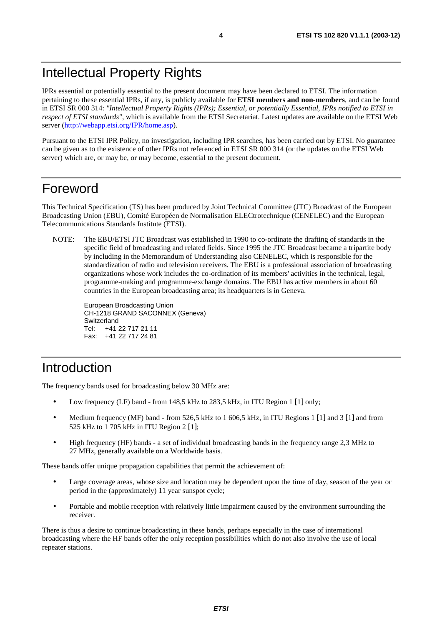IPRs essential or potentially essential to the present document may have been declared to ETSI. The information pertaining to these essential IPRs, if any, is publicly available for **ETSI members and non-members**, and can be found in ETSI SR 000 314: *"Intellectual Property Rights (IPRs); Essential, or potentially Essential, IPRs notified to ETSI in respect of ETSI standards"*, which is available from the ETSI Secretariat. Latest updates are available on the ETSI Web server ([http://webapp.etsi.org/IPR/home.asp\)](http://webapp.etsi.org/IPR/home.asp).

Pursuant to the ETSI IPR Policy, no investigation, including IPR searches, has been carried out by ETSI. No guarantee can be given as to the existence of other IPRs not referenced in ETSI SR 000 314 (or the updates on the ETSI Web server) which are, or may be, or may become, essential to the present document.

## Foreword

This Technical Specification (TS) has been produced by Joint Technical Committee (JTC) Broadcast of the European Broadcasting Union (EBU), Comité Européen de Normalisation ELECtrotechnique (CENELEC) and the European Telecommunications Standards Institute (ETSI).

NOTE: The EBU/ETSI JTC Broadcast was established in 1990 to co-ordinate the drafting of standards in the specific field of broadcasting and related fields. Since 1995 the JTC Broadcast became a tripartite body by including in the Memorandum of Understanding also CENELEC, which is responsible for the standardization of radio and television receivers. The EBU is a professional association of broadcasting organizations whose work includes the co-ordination of its members' activities in the technical, legal, programme-making and programme-exchange domains. The EBU has active members in about 60 countries in the European broadcasting area; its headquarters is in Geneva.

European Broadcasting Union CH-1218 GRAND SACONNEX (Geneva) Switzerland Tel: +41 22 717 21 11 Fax: +41 22 717 24 81

# Introduction

The frequency bands used for broadcasting below 30 MHz are:

- Low frequency (LF) band from 148,5 kHz to 283,5 kHz, in ITU Region 1 [1] only;
- Medium frequency (MF) band from 526,5 kHz to 1 606,5 kHz, in ITU Regions 1 [1] and 3 [1] and from 525 kHz to 1 705 kHz in ITU Region 2 [1];
- High frequency (HF) bands a set of individual broadcasting bands in the frequency range 2,3 MHz to 27 MHz, generally available on a Worldwide basis.

These bands offer unique propagation capabilities that permit the achievement of:

- Large coverage areas, whose size and location may be dependent upon the time of day, season of the year or period in the (approximately) 11 year sunspot cycle;
- Portable and mobile reception with relatively little impairment caused by the environment surrounding the receiver.

There is thus a desire to continue broadcasting in these bands, perhaps especially in the case of international broadcasting where the HF bands offer the only reception possibilities which do not also involve the use of local repeater stations.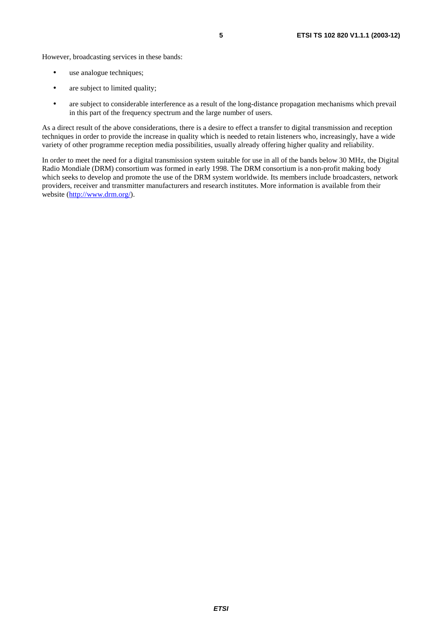However, broadcasting services in these bands:

- use analogue techniques;
- are subject to limited quality;
- are subject to considerable interference as a result of the long-distance propagation mechanisms which prevail in this part of the frequency spectrum and the large number of users.

As a direct result of the above considerations, there is a desire to effect a transfer to digital transmission and reception techniques in order to provide the increase in quality which is needed to retain listeners who, increasingly, have a wide variety of other programme reception media possibilities, usually already offering higher quality and reliability.

In order to meet the need for a digital transmission system suitable for use in all of the bands below 30 MHz, the Digital Radio Mondiale (DRM) consortium was formed in early 1998. The DRM consortium is a non-profit making body which seeks to develop and promote the use of the DRM system worldwide. Its members include broadcasters, network providers, receiver and transmitter manufacturers and research institutes. More information is available from their website ([http://www.drm.org/\)](http://www.drm.org/).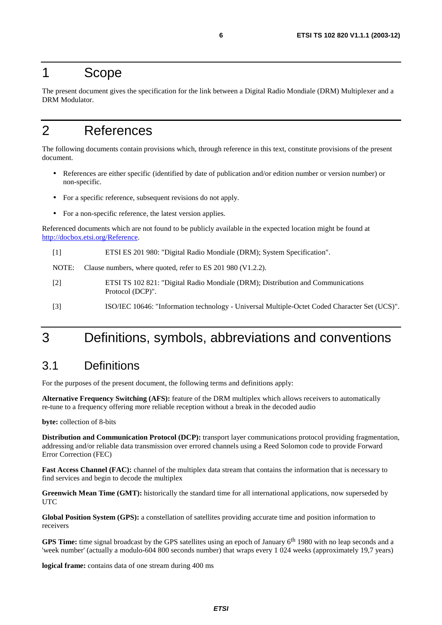### 1 Scope

The present document gives the specification for the link between a Digital Radio Mondiale (DRM) Multiplexer and a DRM Modulator.

# 2 References

The following documents contain provisions which, through reference in this text, constitute provisions of the present document.

- References are either specific (identified by date of publication and/or edition number or version number) or non-specific.
- For a specific reference, subsequent revisions do not apply.
- For a non-specific reference, the latest version applies.

Referenced documents which are not found to be publicly available in the expected location might be found at <http://docbox.etsi.org/Reference>.

[1] ETSI ES 201 980: "Digital Radio Mondiale (DRM); System Specification".

NOTE: Clause numbers, where quoted, refer to ES 201 980 (V1.2.2).

- [2] ETSI TS 102 821: "Digital Radio Mondiale (DRM); Distribution and Communications Protocol (DCP)".
- [3] ISO/IEC 10646: "Information technology Universal Multiple-Octet Coded Character Set (UCS)".

# 3 Definitions, symbols, abbreviations and conventions

### 3.1 Definitions

For the purposes of the present document, the following terms and definitions apply:

**Alternative Frequency Switching (AFS):** feature of the DRM multiplex which allows receivers to automatically re-tune to a frequency offering more reliable reception without a break in the decoded audio

**byte:** collection of 8-bits

**Distribution and Communication Protocol (DCP):** transport layer communications protocol providing fragmentation, addressing and/or reliable data transmission over errored channels using a Reed Solomon code to provide Forward Error Correction (FEC)

**Fast Access Channel (FAC):** channel of the multiplex data stream that contains the information that is necessary to find services and begin to decode the multiplex

**Greenwich Mean Time (GMT):** historically the standard time for all international applications, now superseded by UTC

**Global Position System (GPS):** a constellation of satellites providing accurate time and position information to receivers

**GPS Time:** time signal broadcast by the GPS satellites using an epoch of January 6th 1980 with no leap seconds and a 'week number' (actually a modulo-604 800 seconds number) that wraps every 1 024 weeks (approximately 19,7 years)

**logical frame:** contains data of one stream during 400 ms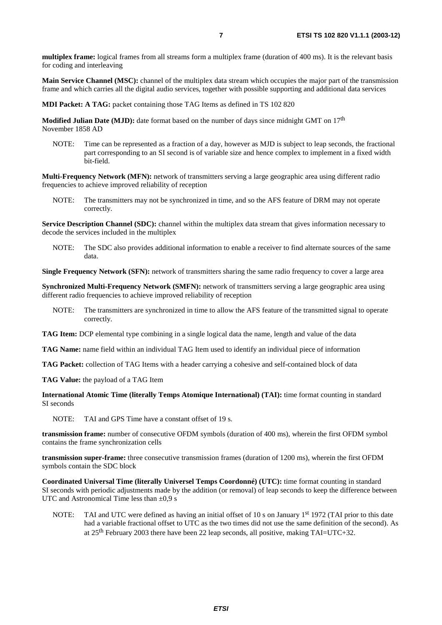**multiplex frame:** logical frames from all streams form a multiplex frame (duration of 400 ms). It is the relevant basis for coding and interleaving

**Main Service Channel (MSC):** channel of the multiplex data stream which occupies the major part of the transmission frame and which carries all the digital audio services, together with possible supporting and additional data services

**MDI Packet: A TAG:** packet containing those TAG Items as defined in TS 102 820

**Modified Julian Date (MJD):** date format based on the number of days since midnight GMT on 17<sup>th</sup> November 1858 AD

NOTE: Time can be represented as a fraction of a day, however as MJD is subject to leap seconds, the fractional part corresponding to an SI second is of variable size and hence complex to implement in a fixed width bit-field.

**Multi-Frequency Network (MFN):** network of transmitters serving a large geographic area using different radio frequencies to achieve improved reliability of reception

NOTE: The transmitters may not be synchronized in time, and so the AFS feature of DRM may not operate correctly.

**Service Description Channel (SDC):** channel within the multiplex data stream that gives information necessary to decode the services included in the multiplex

NOTE: The SDC also provides additional information to enable a receiver to find alternate sources of the same data.

**Single Frequency Network (SFN):** network of transmitters sharing the same radio frequency to cover a large area

**Synchronized Multi-Frequency Network (SMFN):** network of transmitters serving a large geographic area using different radio frequencies to achieve improved reliability of reception

- NOTE: The transmitters are synchronized in time to allow the AFS feature of the transmitted signal to operate correctly.
- **TAG Item:** DCP elemental type combining in a single logical data the name, length and value of the data
- **TAG Name:** name field within an individual TAG Item used to identify an individual piece of information

**TAG Packet:** collection of TAG Items with a header carrying a cohesive and self-contained block of data

**TAG Value:** the payload of a TAG Item

**International Atomic Time (literally Temps Atomique International) (TAI):** time format counting in standard SI seconds

NOTE: TAI and GPS Time have a constant offset of 19 s.

**transmission frame:** number of consecutive OFDM symbols (duration of 400 ms), wherein the first OFDM symbol contains the frame synchronization cells

**transmission super-frame:** three consecutive transmission frames (duration of 1200 ms), wherein the first OFDM symbols contain the SDC block

**Coordinated Universal Time (literally Universel Temps Coordonné) (UTC):** time format counting in standard SI seconds with periodic adjustments made by the addition (or removal) of leap seconds to keep the difference between UTC and Astronomical Time less than  $\pm 0.9$  s

NOTE: TAI and UTC were defined as having an initial offset of 10 s on January 1<sup>st</sup> 1972 (TAI prior to this date had a variable fractional offset to UTC as the two times did not use the same definition of the second). As at  $25<sup>th</sup>$  February 2003 there have been 22 leap seconds, all positive, making TAI=UTC+32.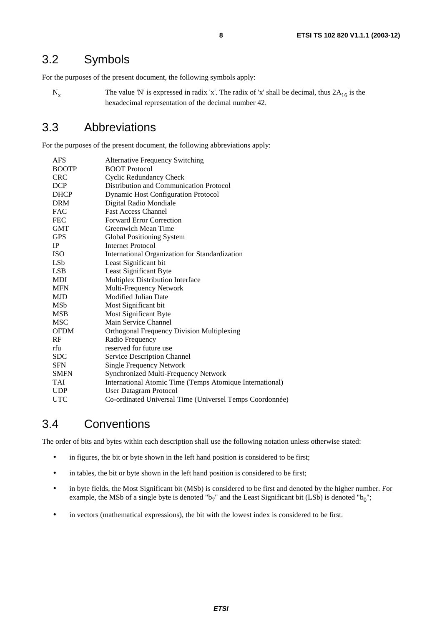### 3.2 Symbols

For the purposes of the present document, the following symbols apply:

 $N_x$  The value 'N' is expressed in radix 'x'. The radix of 'x' shall be decimal, thus  $2A_{16}$  is the hexadecimal representation of the decimal number 42.

### 3.3 Abbreviations

For the purposes of the present document, the following abbreviations apply:

| AFS             | <b>Alternative Frequency Switching</b>                   |
|-----------------|----------------------------------------------------------|
| <b>BOOTP</b>    | <b>BOOT</b> Protocol                                     |
| <b>CRC</b>      | <b>Cyclic Redundancy Check</b>                           |
| <b>DCP</b>      | <b>Distribution and Communication Protocol</b>           |
| <b>DHCP</b>     | <b>Dynamic Host Configuration Protocol</b>               |
| <b>DRM</b>      | Digital Radio Mondiale                                   |
| <b>FAC</b>      | <b>Fast Access Channel</b>                               |
| <b>FEC</b>      | <b>Forward Error Correction</b>                          |
| <b>GMT</b>      | Greenwich Mean Time                                      |
| <b>GPS</b>      | Global Positioning System                                |
| IP              | <b>Internet Protocol</b>                                 |
| <b>ISO</b>      | International Organization for Standardization           |
| LS <sub>b</sub> | Least Significant bit                                    |
| <b>LSB</b>      | Least Significant Byte                                   |
| MDI             | Multiplex Distribution Interface                         |
| <b>MFN</b>      | Multi-Frequency Network                                  |
| <b>MJD</b>      | <b>Modified Julian Date</b>                              |
| MSb             | Most Significant bit                                     |
| <b>MSB</b>      | <b>Most Significant Byte</b>                             |
| <b>MSC</b>      | Main Service Channel                                     |
| <b>OFDM</b>     | <b>Orthogonal Frequency Division Multiplexing</b>        |
| RF              | Radio Frequency                                          |
| rfu             | reserved for future use                                  |
| <b>SDC</b>      | <b>Service Description Channel</b>                       |
| <b>SFN</b>      | <b>Single Frequency Network</b>                          |
| <b>SMFN</b>     | Synchronized Multi-Frequency Network                     |
| TAI             | International Atomic Time (Temps Atomique International) |
| <b>UDP</b>      | User Datagram Protocol                                   |
| <b>UTC</b>      | Co-ordinated Universal Time (Universel Temps Coordonnée) |

### 3.4 Conventions

The order of bits and bytes within each description shall use the following notation unless otherwise stated:

- in figures, the bit or byte shown in the left hand position is considered to be first;
- in tables, the bit or byte shown in the left hand position is considered to be first;
- in byte fields, the Most Significant bit (MSb) is considered to be first and denoted by the higher number. For example, the MSb of a single byte is denoted " $b_7$ " and the Least Significant bit (LSb) is denoted " $b_0$ ";
- in vectors (mathematical expressions), the bit with the lowest index is considered to be first.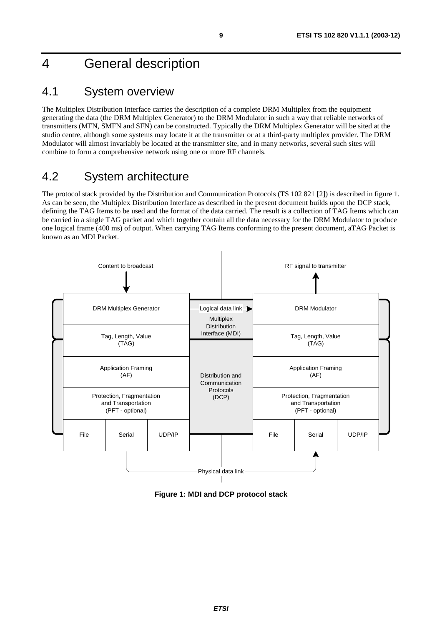# 4 General description

### 4.1 System overview

The Multiplex Distribution Interface carries the description of a complete DRM Multiplex from the equipment generating the data (the DRM Multiplex Generator) to the DRM Modulator in such a way that reliable networks of transmitters (MFN, SMFN and SFN) can be constructed. Typically the DRM Multiplex Generator will be sited at the studio centre, although some systems may locate it at the transmitter or at a third-party multiplex provider. The DRM Modulator will almost invariably be located at the transmitter site, and in many networks, several such sites will combine to form a comprehensive network using one or more RF channels.

# 4.2 System architecture

The protocol stack provided by the Distribution and Communication Protocols (TS 102 821 [2]) is described in figure 1. As can be seen, the Multiplex Distribution Interface as described in the present document builds upon the DCP stack, defining the TAG Items to be used and the format of the data carried. The result is a collection of TAG Items which can be carried in a single TAG packet and which together contain all the data necessary for the DRM Modulator to produce one logical frame (400 ms) of output. When carrying TAG Items conforming to the present document, aTAG Packet is known as an MDI Packet.



**Figure 1: MDI and DCP protocol stack**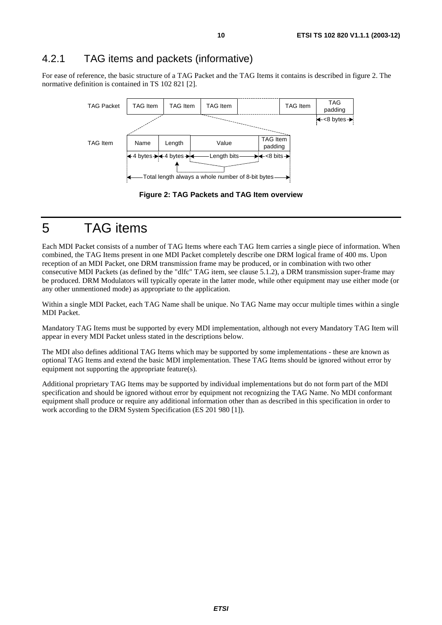### 4.2.1 TAG items and packets (informative)

For ease of reference, the basic structure of a TAG Packet and the TAG Items it contains is described in figure 2. The normative definition is contained in TS 102 821 [2].



**Figure 2: TAG Packets and TAG Item overview** 

5 TAG items

Each MDI Packet consists of a number of TAG Items where each TAG Item carries a single piece of information. When combined, the TAG Items present in one MDI Packet completely describe one DRM logical frame of 400 ms. Upon reception of an MDI Packet, one DRM transmission frame may be produced, or in combination with two other consecutive MDI Packets (as defined by the "dlfc" TAG item, see clause 5.1.2), a DRM transmission super-frame may be produced. DRM Modulators will typically operate in the latter mode, while other equipment may use either mode (or any other unmentioned mode) as appropriate to the application.

Within a single MDI Packet, each TAG Name shall be unique. No TAG Name may occur multiple times within a single MDI Packet.

Mandatory TAG Items must be supported by every MDI implementation, although not every Mandatory TAG Item will appear in every MDI Packet unless stated in the descriptions below.

The MDI also defines additional TAG Items which may be supported by some implementations - these are known as optional TAG Items and extend the basic MDI implementation. These TAG Items should be ignored without error by equipment not supporting the appropriate feature(s).

Additional proprietary TAG Items may be supported by individual implementations but do not form part of the MDI specification and should be ignored without error by equipment not recognizing the TAG Name. No MDI conformant equipment shall produce or require any additional information other than as described in this specification in order to work according to the DRM System Specification (ES 201 980 [1]).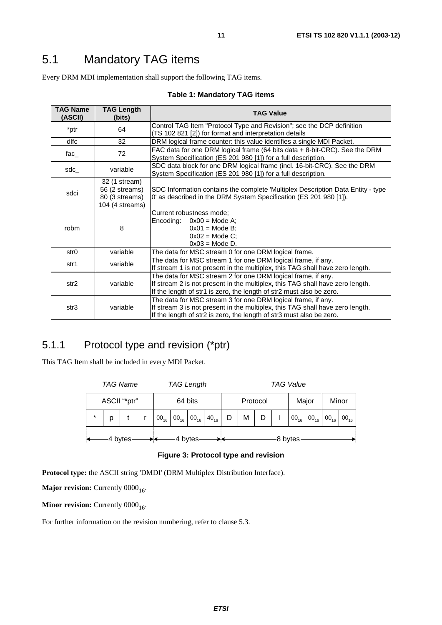# 5.1 Mandatory TAG items

Every DRM MDI implementation shall support the following TAG items.

#### **Table 1: Mandatory TAG items**

| <b>TAG Name</b><br>(ASCII) | <b>TAG Length</b><br>(bits)                                          | <b>TAG Value</b>                                                                                                                                                                                                      |
|----------------------------|----------------------------------------------------------------------|-----------------------------------------------------------------------------------------------------------------------------------------------------------------------------------------------------------------------|
| *ptr                       | 64                                                                   | Control TAG Item "Protocol Type and Revision"; see the DCP definition<br>(TS 102 821 [2]) for format and interpretation details                                                                                       |
| dlfc                       | 32                                                                   | DRM logical frame counter: this value identifies a single MDI Packet.                                                                                                                                                 |
| fac_                       | 72                                                                   | FAC data for one DRM logical frame (64 bits data $+$ 8-bit-CRC). See the DRM<br>System Specification (ES 201 980 [1]) for a full description.                                                                         |
| sdc_                       | variable                                                             | SDC data block for one DRM logical frame (incl. 16-bit-CRC). See the DRM<br>System Specification (ES 201 980 [1]) for a full description.                                                                             |
| sdci                       | 32 (1 stream)<br>56 (2 streams)<br>80 (3 streams)<br>104 (4 streams) | SDC Information contains the complete 'Multiplex Description Data Entity - type<br>0' as described in the DRM System Specification (ES 201 980 [1]).                                                                  |
| robm                       | 8                                                                    | Current robustness mode;<br>$0x00 = Mode A$ ;<br>Encoding:<br>$0x01 = Mode B$ ;<br>$0x02$ = Mode C;<br>$0x03$ = Mode D.                                                                                               |
| str <sub>0</sub>           | variable                                                             | The data for MSC stream 0 for one DRM logical frame.                                                                                                                                                                  |
| str1                       | variable                                                             | The data for MSC stream 1 for one DRM logical frame, if any.<br>If stream 1 is not present in the multiplex, this TAG shall have zero length.                                                                         |
| str <sub>2</sub>           | variable                                                             | The data for MSC stream 2 for one DRM logical frame, if any.<br>If stream 2 is not present in the multiplex, this TAG shall have zero length.<br>If the length of str1 is zero, the length of str2 must also be zero. |
| str3                       | variable                                                             | The data for MSC stream 3 for one DRM logical frame, if any.<br>If stream 3 is not present in the multiplex, this TAG shall have zero length.<br>If the length of str2 is zero, the length of str3 must also be zero. |

### 5.1.1 Protocol type and revision (\*ptr)

This TAG Item shall be included in every MDI Packet.

|              | <b>TAG Name</b> |  |         | <b>TAG Length</b> |         |                                             |  | <b>TAG Value</b> |   |       |         |       |                            |        |           |
|--------------|-----------------|--|---------|-------------------|---------|---------------------------------------------|--|------------------|---|-------|---------|-------|----------------------------|--------|-----------|
| ASCII "*ptr" |                 |  | 64 bits |                   |         | Protocol                                    |  |                  |   | Major |         | Minor |                            |        |           |
| $\star$      | p               |  |         | $00_{16}$         |         | $00_{16}$ 00 <sub>16</sub> 40 <sub>16</sub> |  | D                | M |       |         |       | $00_{16}$ 00 <sub>16</sub> | 00, 00 | $00_{16}$ |
| 4 bytes      |                 |  |         |                   | 4 bytes |                                             |  |                  |   |       | 8 bytes |       |                            |        |           |

**Figure 3: Protocol type and revision** 

**Protocol type:** the ASCII string 'DMDI' (DRM Multiplex Distribution Interface).

**Major revision:** Currently 0000<sub>16</sub>.

**Minor revision:** Currently 0000<sub>16</sub>.

For further information on the revision numbering, refer to clause 5.3.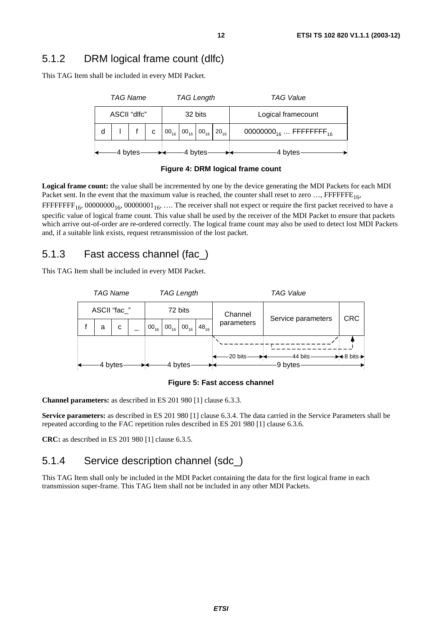This TAG Item shall be included in every MDI Packet.

|              | TAG Name |         |              |  | <b>TAG Length</b>                                            |  |                    | <b>TAG Value</b>                               |
|--------------|----------|---------|--------------|--|--------------------------------------------------------------|--|--------------------|------------------------------------------------|
| ASCII "dlfc" |          |         | 32 bits      |  |                                                              |  | Logical framecount |                                                |
|              |          |         | $\mathbf{C}$ |  | $00_{16}$ 00 <sub>16</sub> 00 <sub>16</sub> 20 <sub>16</sub> |  |                    | 00000000 <sub>16</sub> FFFFFFFFF <sub>16</sub> |
|              |          | 4 bytes |              |  | -4 bvtes                                                     |  |                    | 4 bytes                                        |

#### **Figure 4: DRM logical frame count**

**Logical frame count:** the value shall be incremented by one by the device generating the MDI Packets for each MDI Packet sent. In the event that the maximum value is reached, the counter shall reset to zero  $\ldots$ , FFFFFFE<sub>16</sub>,

FFFFFFF<sub>16</sub>, 00000000<sub>16</sub>, 00000001<sub>16</sub>, .... The receiver shall not expect or require the first packet received to have a specific value of logical frame count. This value shall be used by the receiver of the MDI Packet to ensure that packets which arrive out-of-order are re-ordered correctly. The logical frame count may also be used to detect lost MDI Packets and, if a suitable link exists, request retransmission of the lost packet.

### 5.1.3 Fast access channel (fac\_)

This TAG Item shall be included in every MDI Packet.



#### **Figure 5: Fast access channel**

**Channel parameters:** as described in ES 201 980 [1] clause 6.3.3.

**Service parameters:** as described in ES 201 980 [1] clause 6.3.4. The data carried in the Service Parameters shall be repeated according to the FAC repetition rules described in ES 201 980 [1] clause 6.3.6.

**CRC:** as described in ES 201 980 [1] clause 6.3.5.

### 5.1.4 Service description channel (sdc\_)

This TAG Item shall only be included in the MDI Packet containing the data for the first logical frame in each transmission super-frame. This TAG Item shall not be included in any other MDI Packets.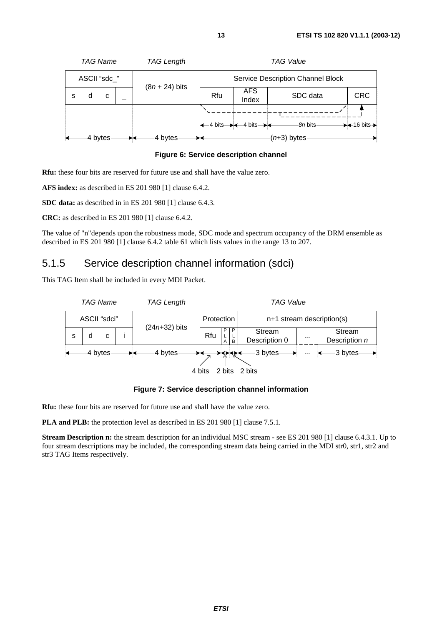

**Figure 6: Service description channel** 

**Rfu:** these four bits are reserved for future use and shall have the value zero.

**AFS index:** as described in ES 201 980 [1] clause 6.4.2.

**SDC data:** as described in in ES 201 980 [1] clause 6.4.3.

**CRC:** as described in ES 201 980 [1] clause 6.4.2.

The value of "n"depends upon the robustness mode, SDC mode and spectrum occupancy of the DRM ensemble as described in ES 201 980 [1] clause 6.4.2 table 61 which lists values in the range 13 to 207.

### 5.1.5 Service description channel information (sdci)

This TAG Item shall be included in every MDI Packet.



**Figure 7: Service description channel information** 

**Rfu:** these four bits are reserved for future use and shall have the value zero.

**PLA and PLB:** the protection level as described in ES 201 980 [1] clause 7.5.1.

**Stream Description n:** the stream description for an individual MSC stream - see ES 201 980 [1] clause 6.4.3.1. Up to four stream descriptions may be included, the corresponding stream data being carried in the MDI str0, str1, str2 and str3 TAG Items respectively.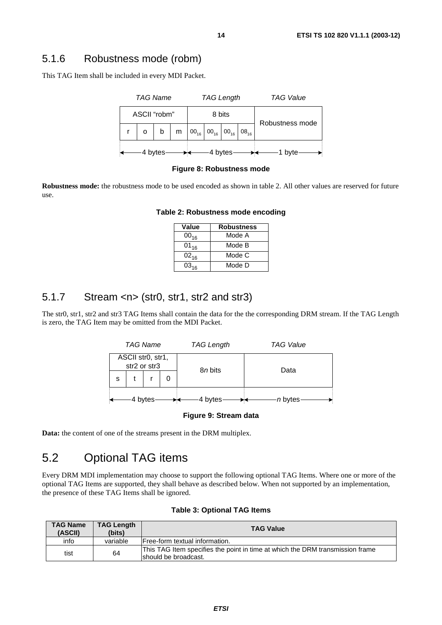### 5.1.6 Robustness mode (robm)

This TAG Item shall be included in every MDI Packet.



**Figure 8: Robustness mode** 

**Robustness mode:** the robustness mode to be used encoded as shown in table 2. All other values are reserved for future use.

| Value     | <b>Robustness</b> |
|-----------|-------------------|
| $00_{16}$ | Mode A            |
| $01_{16}$ | Mode B            |
| $02_{16}$ | Mode C            |
| $03_{16}$ | Mode D            |

#### **Table 2: Robustness mode encoding**

### 5.1.7 Stream <n> (str0, str1, str2 and str3)

The str0, str1, str2 and str3 TAG Items shall contain the data for the the corresponding DRM stream. If the TAG Length is zero, the TAG Item may be omitted from the MDI Packet.



#### **Figure 9: Stream data**

**Data:** the content of one of the streams present in the DRM multiplex.

### 5.2 Optional TAG items

Every DRM MDI implementation may choose to support the following optional TAG Items. Where one or more of the optional TAG Items are supported, they shall behave as described below. When not supported by an implementation, the presence of these TAG Items shall be ignored.

| <b>Table 3: Optional TAG Items</b> |  |
|------------------------------------|--|
|------------------------------------|--|

| <b>TAG Name</b><br>(ASCII) | <b>TAG Length</b><br>(bits) | <b>TAG Value</b>                                                                                      |
|----------------------------|-----------------------------|-------------------------------------------------------------------------------------------------------|
| info                       | variable                    | IFree-form textual information.                                                                       |
| tist                       | 64                          | This TAG Item specifies the point in time at which the DRM transmission frame<br>should be broadcast. |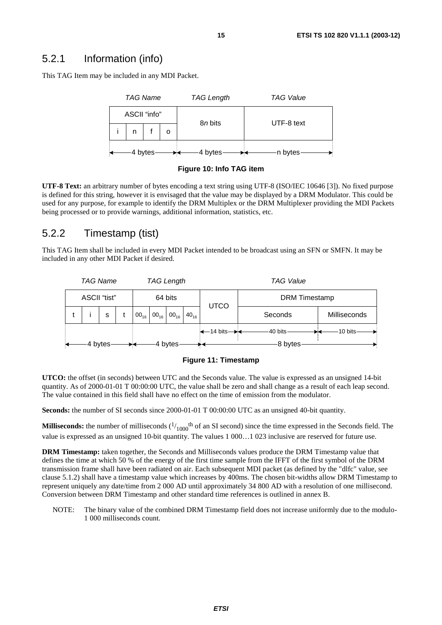### 5.2.1 Information (info)

This TAG Item may be included in any MDI Packet.





**UTF-8 Text:** an arbitrary number of bytes encoding a text string using UTF-8 (ISO/IEC 10646 [3]). No fixed purpose is defined for this string, however it is envisaged that the value may be displayed by a DRM Modulator. This could be used for any purpose, for example to identify the DRM Multiplex or the DRM Multiplexer providing the MDI Packets being processed or to provide warnings, additional information, statistics, etc.

### 5.2.2 Timestamp (tist)

This TAG Item shall be included in every MDI Packet intended to be broadcast using an SFN or SMFN. It may be included in any other MDI Packet if desired.





**UTCO:** the offset (in seconds) between UTC and the Seconds value. The value is expressed as an unsigned 14-bit quantity. As of 2000-01-01 T 00:00:00 UTC, the value shall be zero and shall change as a result of each leap second. The value contained in this field shall have no effect on the time of emission from the modulator.

**Seconds:** the number of SI seconds since 2000-01-01 T 00:00:00 UTC as an unsigned 40-bit quantity.

**Milliseconds:** the number of milliseconds  $(1/1000$ <sup>th</sup> of an SI second) since the time expressed in the Seconds field. The value is expressed as an unsigned 10-bit quantity. The values 1 000…1 023 inclusive are reserved for future use.

**DRM Timestamp:** taken together, the Seconds and Milliseconds values produce the DRM Timestamp value that defines the time at which 50 % of the energy of the first time sample from the IFFT of the first symbol of the DRM transmission frame shall have been radiated on air. Each subsequent MDI packet (as defined by the "dlfc" value, see clause 5.1.2) shall have a timestamp value which increases by 400ms. The chosen bit-widths allow DRM Timestamp to represent uniquely any date/time from 2 000 AD until approximately 34 800 AD with a resolution of one millisecond. Conversion between DRM Timestamp and other standard time references is outlined in annex B.

NOTE: The binary value of the combined DRM Timestamp field does not increase uniformly due to the modulo-1 000 milliseconds count.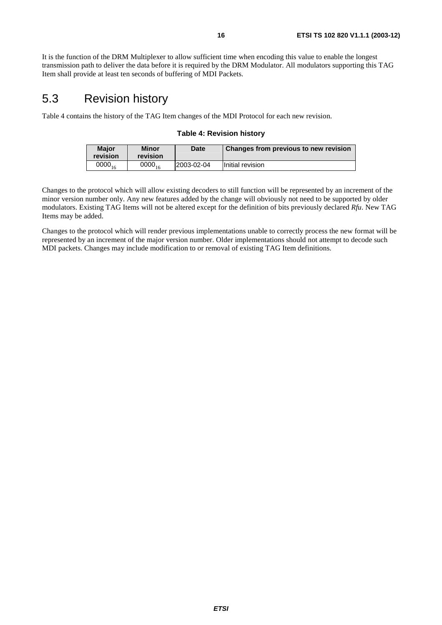It is the function of the DRM Multiplexer to allow sufficient time when encoding this value to enable the longest transmission path to deliver the data before it is required by the DRM Modulator. All modulators supporting this TAG Item shall provide at least ten seconds of buffering of MDI Packets.

### 5.3 Revision history

Table 4 contains the history of the TAG Item changes of the MDI Protocol for each new revision.

#### **Table 4: Revision history**

| <b>Maior</b><br>revision | <b>Minor</b><br>revision | Date        | Changes from previous to new revision |  |  |
|--------------------------|--------------------------|-------------|---------------------------------------|--|--|
| $0000_{16}$              | 0000 $_{16}$             | 12003-02-04 | Initial revision                      |  |  |

Changes to the protocol which will allow existing decoders to still function will be represented by an increment of the minor version number only. Any new features added by the change will obviously not need to be supported by older modulators. Existing TAG Items will not be altered except for the definition of bits previously declared *Rfu*. New TAG Items may be added.

Changes to the protocol which will render previous implementations unable to correctly process the new format will be represented by an increment of the major version number. Older implementations should not attempt to decode such MDI packets. Changes may include modification to or removal of existing TAG Item definitions.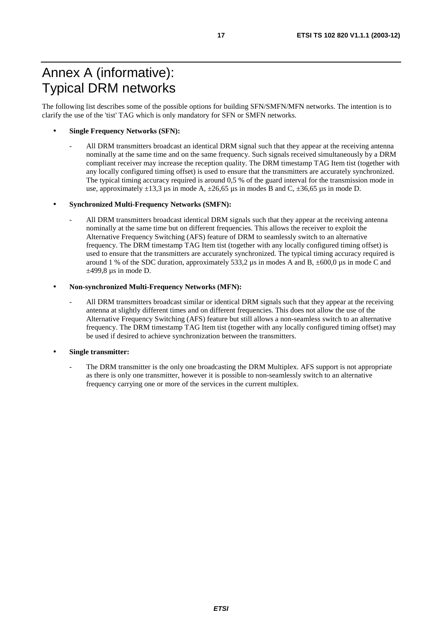# Annex A (informative): Typical DRM networks

The following list describes some of the possible options for building SFN/SMFN/MFN networks. The intention is to clarify the use of the 'tist' TAG which is only mandatory for SFN or SMFN networks.

#### • **Single Frequency Networks (SFN):**

- All DRM transmitters broadcast an identical DRM signal such that they appear at the receiving antenna nominally at the same time and on the same frequency. Such signals received simultaneously by a DRM compliant receiver may increase the reception quality. The DRM timestamp TAG Item tist (together with any locally configured timing offset) is used to ensure that the transmitters are accurately synchronized. The typical timing accuracy required is around 0,5 % of the guard interval for the transmission mode in use, approximately  $\pm 13.3$  µs in mode A,  $\pm 26.65$  µs in modes B and C,  $\pm 36.65$  µs in mode D.

#### • **Synchronized Multi-Frequency Networks (SMFN):**

All DRM transmitters broadcast identical DRM signals such that they appear at the receiving antenna nominally at the same time but on different frequencies. This allows the receiver to exploit the Alternative Frequency Switching (AFS) feature of DRM to seamlessly switch to an alternative frequency. The DRM timestamp TAG Item tist (together with any locally configured timing offset) is used to ensure that the transmitters are accurately synchronized. The typical timing accuracy required is around 1 % of the SDC duration, approximately 533,2  $\mu$ s in modes A and B,  $\pm 600,0 \mu$ s in mode C and  $\pm$ 499,8 µs in mode D.

#### • **Non-synchronized Multi-Frequency Networks (MFN):**

All DRM transmitters broadcast similar or identical DRM signals such that they appear at the receiving antenna at slightly different times and on different frequencies. This does not allow the use of the Alternative Frequency Switching (AFS) feature but still allows a non-seamless switch to an alternative frequency. The DRM timestamp TAG Item tist (together with any locally configured timing offset) may be used if desired to achieve synchronization between the transmitters.

#### • **Single transmitter:**

The DRM transmitter is the only one broadcasting the DRM Multiplex. AFS support is not appropriate as there is only one transmitter, however it is possible to non-seamlessly switch to an alternative frequency carrying one or more of the services in the current multiplex.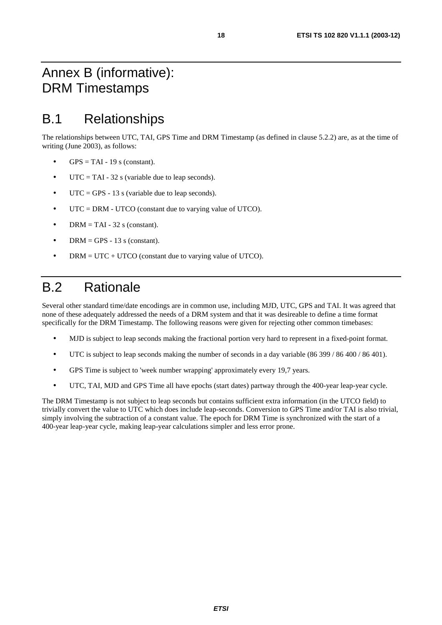# Annex B (informative): DRM Timestamps

# B.1 Relationships

The relationships between UTC, TAI, GPS Time and DRM Timestamp (as defined in clause 5.2.2) are, as at the time of writing (June 2003), as follows:

- $GPS = TAI 19$  s (constant).
- $UTC = TAI 32$  s (variable due to leap seconds).
- UTC = GPS 13 s (variable due to leap seconds).
- UTC = DRM UTCO (constant due to varying value of UTCO).
- DRM = TAI 32 s (constant).
- DRM = GPS 13 s (constant).
- $DRM = UTC + UTCO$  (constant due to varying value of UTCO).

# B.2 Rationale

Several other standard time/date encodings are in common use, including MJD, UTC, GPS and TAI. It was agreed that none of these adequately addressed the needs of a DRM system and that it was desireable to define a time format specifically for the DRM Timestamp. The following reasons were given for rejecting other common timebases:

- MJD is subject to leap seconds making the fractional portion very hard to represent in a fixed-point format.
- UTC is subject to leap seconds making the number of seconds in a day variable (86 399 / 86 400 / 86 401).
- GPS Time is subject to 'week number wrapping' approximately every 19,7 years.
- UTC, TAI, MJD and GPS Time all have epochs (start dates) partway through the 400-year leap-year cycle.

The DRM Timestamp is not subject to leap seconds but contains sufficient extra information (in the UTCO field) to trivially convert the value to UTC which does include leap-seconds. Conversion to GPS Time and/or TAI is also trivial, simply involving the subtraction of a constant value. The epoch for DRM Time is synchronized with the start of a 400-year leap-year cycle, making leap-year calculations simpler and less error prone.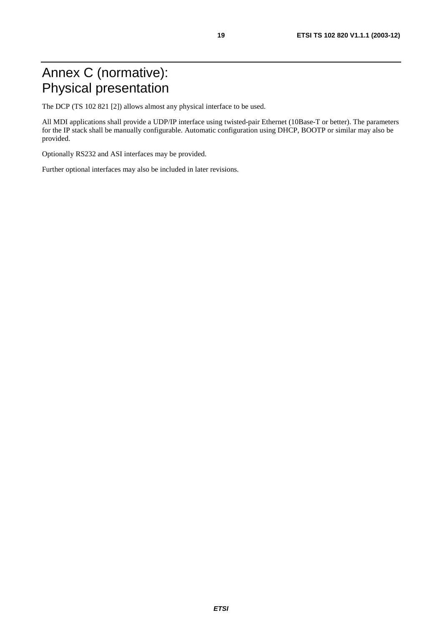# Annex C (normative): Physical presentation

The DCP (TS 102 821 [2]) allows almost any physical interface to be used.

All MDI applications shall provide a UDP/IP interface using twisted-pair Ethernet (10Base-T or better). The parameters for the IP stack shall be manually configurable. Automatic configuration using DHCP, BOOTP or similar may also be provided.

Optionally RS232 and ASI interfaces may be provided.

Further optional interfaces may also be included in later revisions.